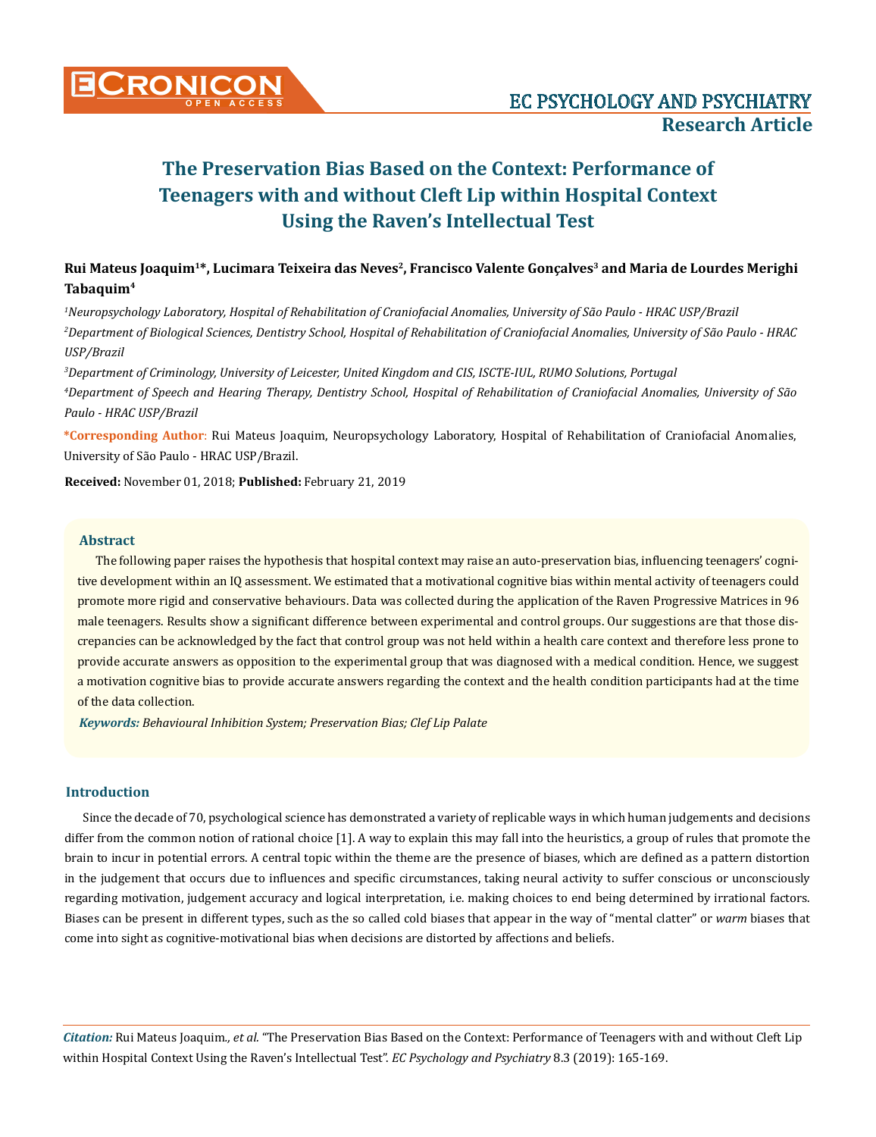

## **Rui Mateus Joaquim1\*, Lucimara Teixeira das Neves2, Francisco Valente Gonçalves3 and Maria de Lourdes Merighi Tabaquim4**

*1 Neuropsychology Laboratory, Hospital of Rehabilitation of Craniofacial Anomalies, University of São Paulo - HRAC USP/Brazil 2 Department of Biological Sciences, Dentistry School, Hospital of Rehabilitation of Craniofacial Anomalies, University of São Paulo - HRAC USP/Brazil*

*3 Department of Criminology, University of Leicester, United Kingdom and CIS, ISCTE-IUL, RUMO Solutions, Portugal 4 Department of Speech and Hearing Therapy, Dentistry School, Hospital of Rehabilitation of Craniofacial Anomalies, University of São Paulo - HRAC USP/Brazil*

**\*Corresponding Author**: Rui Mateus Joaquim, Neuropsychology Laboratory, Hospital of Rehabilitation of Craniofacial Anomalies, University of São Paulo - HRAC USP/Brazil.

**Received:** November 01, 2018; **Published:** February 21, 2019

## **Abstract**

The following paper raises the hypothesis that hospital context may raise an auto-preservation bias, influencing teenagers' cognitive development within an IQ assessment. We estimated that a motivational cognitive bias within mental activity of teenagers could promote more rigid and conservative behaviours. Data was collected during the application of the Raven Progressive Matrices in 96 male teenagers. Results show a significant difference between experimental and control groups. Our suggestions are that those discrepancies can be acknowledged by the fact that control group was not held within a health care context and therefore less prone to provide accurate answers as opposition to the experimental group that was diagnosed with a medical condition. Hence, we suggest a motivation cognitive bias to provide accurate answers regarding the context and the health condition participants had at the time of the data collection.

*Keywords: Behavioural Inhibition System; Preservation Bias; Clef Lip Palate*

## **Introduction**

Since the decade of 70, psychological science has demonstrated a variety of replicable ways in which human judgements and decisions differ from the common notion of rational choice [1]. A way to explain this may fall into the heuristics, a group of rules that promote the brain to incur in potential errors. A central topic within the theme are the presence of biases, which are defined as a pattern distortion in the judgement that occurs due to influences and specific circumstances, taking neural activity to suffer conscious or unconsciously regarding motivation, judgement accuracy and logical interpretation, i.e. making choices to end being determined by irrational factors. Biases can be present in different types, such as the so called cold biases that appear in the way of "mental clatter" or *warm* biases that come into sight as cognitive-motivational bias when decisions are distorted by affections and beliefs.

*Citation:* Rui Mateus Joaquim*., et al.* "The Preservation Bias Based on the Context: Performance of Teenagers with and without Cleft Lip within Hospital Context Using the Raven's Intellectual Test". *EC Psychology and Psychiatry* 8.3 (2019): 165-169.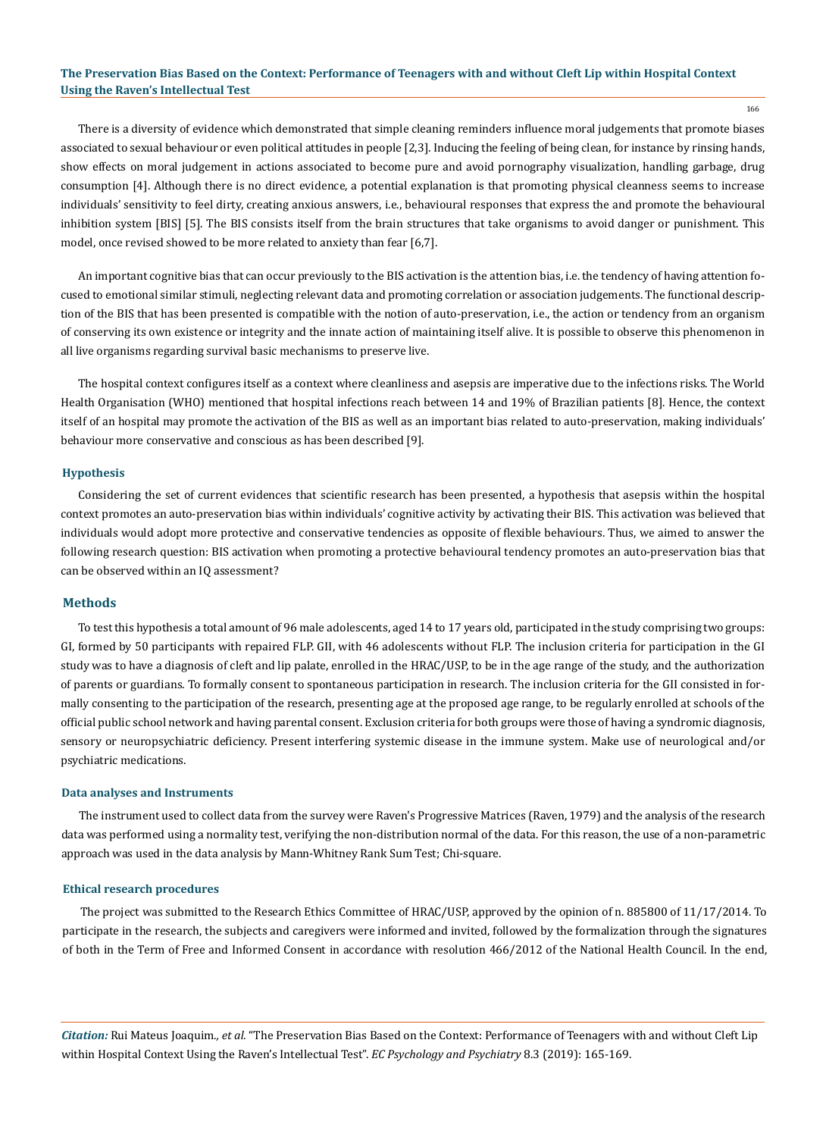166

There is a diversity of evidence which demonstrated that simple cleaning reminders influence moral judgements that promote biases associated to sexual behaviour or even political attitudes in people [2,3]. Inducing the feeling of being clean, for instance by rinsing hands, show effects on moral judgement in actions associated to become pure and avoid pornography visualization, handling garbage, drug consumption [4]. Although there is no direct evidence, a potential explanation is that promoting physical cleanness seems to increase individuals' sensitivity to feel dirty, creating anxious answers, i.e., behavioural responses that express the and promote the behavioural inhibition system [BIS] [5]. The BIS consists itself from the brain structures that take organisms to avoid danger or punishment. This model, once revised showed to be more related to anxiety than fear [6,7].

An important cognitive bias that can occur previously to the BIS activation is the attention bias, i.e. the tendency of having attention focused to emotional similar stimuli, neglecting relevant data and promoting correlation or association judgements. The functional description of the BIS that has been presented is compatible with the notion of auto-preservation, i.e., the action or tendency from an organism of conserving its own existence or integrity and the innate action of maintaining itself alive. It is possible to observe this phenomenon in all live organisms regarding survival basic mechanisms to preserve live.

The hospital context configures itself as a context where cleanliness and asepsis are imperative due to the infections risks. The World Health Organisation (WHO) mentioned that hospital infections reach between 14 and 19% of Brazilian patients [8]. Hence, the context itself of an hospital may promote the activation of the BIS as well as an important bias related to auto-preservation, making individuals' behaviour more conservative and conscious as has been described [9].

#### **Hypothesis**

Considering the set of current evidences that scientific research has been presented, a hypothesis that asepsis within the hospital context promotes an auto-preservation bias within individuals' cognitive activity by activating their BIS. This activation was believed that individuals would adopt more protective and conservative tendencies as opposite of flexible behaviours. Thus, we aimed to answer the following research question: BIS activation when promoting a protective behavioural tendency promotes an auto-preservation bias that can be observed within an IQ assessment?

## **Methods**

To test this hypothesis a total amount of 96 male adolescents, aged 14 to 17 years old, participated in the study comprising two groups: GI, formed by 50 participants with repaired FLP. GII, with 46 adolescents without FLP. The inclusion criteria for participation in the GI study was to have a diagnosis of cleft and lip palate, enrolled in the HRAC/USP, to be in the age range of the study, and the authorization of parents or guardians. To formally consent to spontaneous participation in research. The inclusion criteria for the GII consisted in formally consenting to the participation of the research, presenting age at the proposed age range, to be regularly enrolled at schools of the official public school network and having parental consent. Exclusion criteria for both groups were those of having a syndromic diagnosis, sensory or neuropsychiatric deficiency. Present interfering systemic disease in the immune system. Make use of neurological and/or psychiatric medications.

#### **Data analyses and Instruments**

The instrument used to collect data from the survey were Raven's Progressive Matrices (Raven, 1979) and the analysis of the research data was performed using a normality test, verifying the non-distribution normal of the data. For this reason, the use of a non-parametric approach was used in the data analysis by Mann-Whitney Rank Sum Test; Chi-square.

#### **Ethical research procedures**

The project was submitted to the Research Ethics Committee of HRAC/USP, approved by the opinion of n. 885800 of 11/17/2014. To participate in the research, the subjects and caregivers were informed and invited, followed by the formalization through the signatures of both in the Term of Free and Informed Consent in accordance with resolution 466/2012 of the National Health Council. In the end,

*Citation:* Rui Mateus Joaquim*., et al.* "The Preservation Bias Based on the Context: Performance of Teenagers with and without Cleft Lip within Hospital Context Using the Raven's Intellectual Test". *EC Psychology and Psychiatry* 8.3 (2019): 165-169.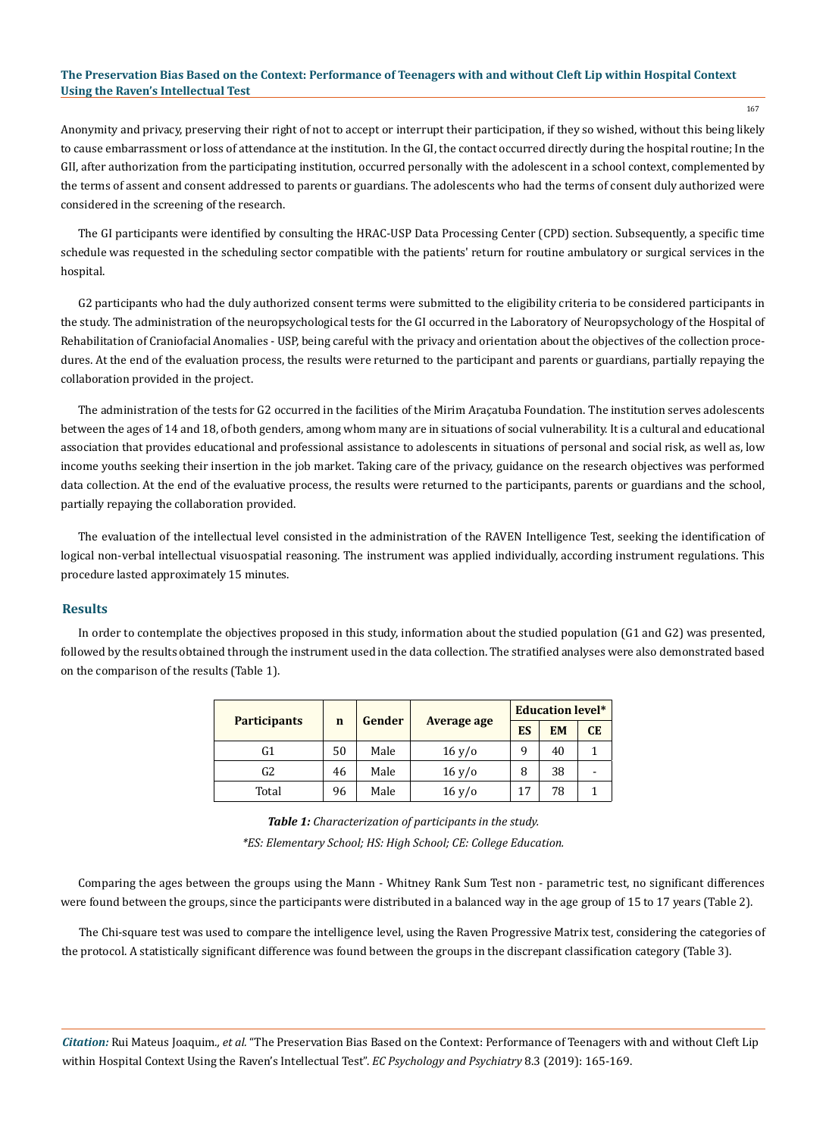167

Anonymity and privacy, preserving their right of not to accept or interrupt their participation, if they so wished, without this being likely to cause embarrassment or loss of attendance at the institution. In the GI, the contact occurred directly during the hospital routine; In the GII, after authorization from the participating institution, occurred personally with the adolescent in a school context, complemented by the terms of assent and consent addressed to parents or guardians. The adolescents who had the terms of consent duly authorized were considered in the screening of the research.

The GI participants were identified by consulting the HRAC-USP Data Processing Center (CPD) section. Subsequently, a specific time schedule was requested in the scheduling sector compatible with the patients' return for routine ambulatory or surgical services in the hospital.

G2 participants who had the duly authorized consent terms were submitted to the eligibility criteria to be considered participants in the study. The administration of the neuropsychological tests for the GI occurred in the Laboratory of Neuropsychology of the Hospital of Rehabilitation of Craniofacial Anomalies - USP, being careful with the privacy and orientation about the objectives of the collection procedures. At the end of the evaluation process, the results were returned to the participant and parents or guardians, partially repaying the collaboration provided in the project.

The administration of the tests for G2 occurred in the facilities of the Mirim Araçatuba Foundation. The institution serves adolescents between the ages of 14 and 18, of both genders, among whom many are in situations of social vulnerability. It is a cultural and educational association that provides educational and professional assistance to adolescents in situations of personal and social risk, as well as, low income youths seeking their insertion in the job market. Taking care of the privacy, guidance on the research objectives was performed data collection. At the end of the evaluative process, the results were returned to the participants, parents or guardians and the school, partially repaying the collaboration provided.

The evaluation of the intellectual level consisted in the administration of the RAVEN Intelligence Test, seeking the identification of logical non-verbal intellectual visuospatial reasoning. The instrument was applied individually, according instrument regulations. This procedure lasted approximately 15 minutes.

#### **Results**

In order to contemplate the objectives proposed in this study, information about the studied population (G1 and G2) was presented, followed by the results obtained through the instrument used in the data collection. The stratified analyses were also demonstrated based on the comparison of the results (Table 1).

|                     |             |        |                    | <b>Education level*</b> |           |           |  |
|---------------------|-------------|--------|--------------------|-------------------------|-----------|-----------|--|
| <b>Participants</b> | $\mathbf n$ | Gender | <b>Average age</b> | ES                      | <b>EM</b> | <b>CE</b> |  |
| G1                  | 50          | Male   | 16 y/o             | 9                       | 40        |           |  |
| G <sub>2</sub>      | 46          | Male   | 16 y/o             | 8                       | 38        | -         |  |
| Total               | 96          | Male   | 16 y/o             | 17                      | 78        |           |  |

*Table 1: Characterization of participants in the study. \*ES: Elementary School; HS: High School; CE: College Education.*

Comparing the ages between the groups using the Mann - Whitney Rank Sum Test non - parametric test, no significant differences were found between the groups, since the participants were distributed in a balanced way in the age group of 15 to 17 years (Table 2).

The Chi-square test was used to compare the intelligence level, using the Raven Progressive Matrix test, considering the categories of the protocol. A statistically significant difference was found between the groups in the discrepant classification category (Table 3).

*Citation:* Rui Mateus Joaquim*., et al.* "The Preservation Bias Based on the Context: Performance of Teenagers with and without Cleft Lip within Hospital Context Using the Raven's Intellectual Test". *EC Psychology and Psychiatry* 8.3 (2019): 165-169.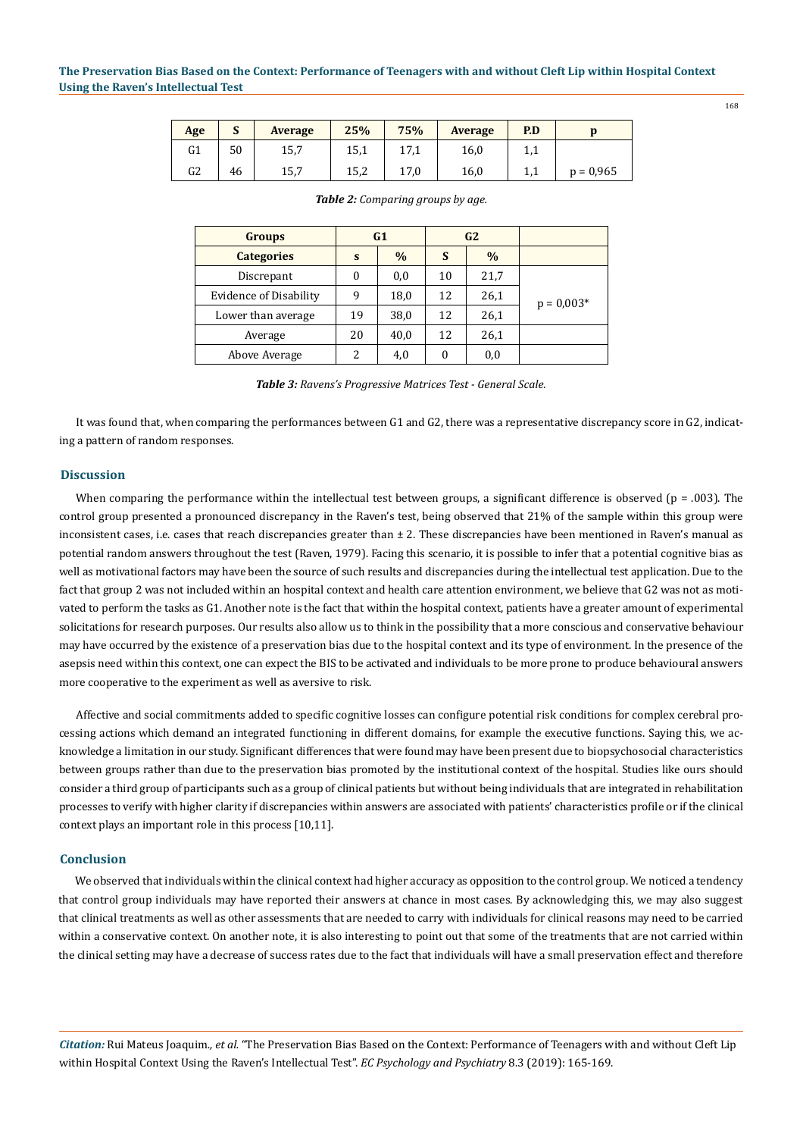| Age            | J  | <b>Average</b> | 25%  | 75%         | <b>Average</b> | P.D |             |
|----------------|----|----------------|------|-------------|----------------|-----|-------------|
| G <sub>1</sub> | 50 | 15,7           | 15,1 | 171<br>17,1 | 16,0           | .,. |             |
| G <sub>2</sub> | 46 | 15,7           | 15,2 | 17,0        | 16,0           | ⊥,⊥ | $p = 0.965$ |

| <b>Groups</b>                 | G1 |      | G <sub>2</sub> |               |              |
|-------------------------------|----|------|----------------|---------------|--------------|
| <b>Categories</b>             | S  | $\%$ | S              | $\frac{0}{0}$ |              |
| Discrepant                    |    | 0,0  | 10             | 21,7          |              |
| <b>Evidence of Disability</b> | q  | 18,0 | 12             | 26,1          | $p = 0.003*$ |
| Lower than average            | 19 | 38,0 | 12             | 26,1          |              |
| Average                       | 20 | 40,0 | 12             | 26,1          |              |
| Above Average                 | 2  | 4,0  | 0              | $_{0,0}$      |              |

*Table 2: Comparing groups by age.*

*Table 3: Ravens's Progressive Matrices Test - General Scale.*

It was found that, when comparing the performances between G1 and G2, there was a representative discrepancy score in G2, indicating a pattern of random responses.

## **Discussion**

When comparing the performance within the intellectual test between groups, a significant difference is observed ( $p = .003$ ). The control group presented a pronounced discrepancy in the Raven's test, being observed that 21% of the sample within this group were inconsistent cases, i.e. cases that reach discrepancies greater than  $\pm$  2. These discrepancies have been mentioned in Raven's manual as potential random answers throughout the test (Raven, 1979). Facing this scenario, it is possible to infer that a potential cognitive bias as well as motivational factors may have been the source of such results and discrepancies during the intellectual test application. Due to the fact that group 2 was not included within an hospital context and health care attention environment, we believe that G2 was not as motivated to perform the tasks as G1. Another note is the fact that within the hospital context, patients have a greater amount of experimental solicitations for research purposes. Our results also allow us to think in the possibility that a more conscious and conservative behaviour may have occurred by the existence of a preservation bias due to the hospital context and its type of environment. In the presence of the asepsis need within this context, one can expect the BIS to be activated and individuals to be more prone to produce behavioural answers more cooperative to the experiment as well as aversive to risk.

Affective and social commitments added to specific cognitive losses can configure potential risk conditions for complex cerebral processing actions which demand an integrated functioning in different domains, for example the executive functions. Saying this, we acknowledge a limitation in our study. Significant differences that were found may have been present due to biopsychosocial characteristics between groups rather than due to the preservation bias promoted by the institutional context of the hospital. Studies like ours should consider a third group of participants such as a group of clinical patients but without being individuals that are integrated in rehabilitation processes to verify with higher clarity if discrepancies within answers are associated with patients' characteristics profile or if the clinical context plays an important role in this process [10,11].

## **Conclusion**

We observed that individuals within the clinical context had higher accuracy as opposition to the control group. We noticed a tendency that control group individuals may have reported their answers at chance in most cases. By acknowledging this, we may also suggest that clinical treatments as well as other assessments that are needed to carry with individuals for clinical reasons may need to be carried within a conservative context. On another note, it is also interesting to point out that some of the treatments that are not carried within the clinical setting may have a decrease of success rates due to the fact that individuals will have a small preservation effect and therefore

*Citation:* Rui Mateus Joaquim*., et al.* "The Preservation Bias Based on the Context: Performance of Teenagers with and without Cleft Lip within Hospital Context Using the Raven's Intellectual Test". *EC Psychology and Psychiatry* 8.3 (2019): 165-169.

168